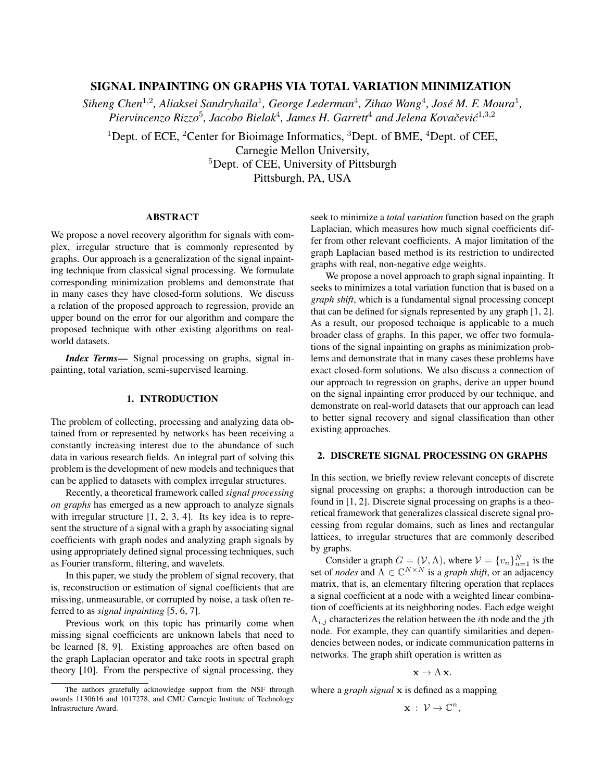# SIGNAL INPAINTING ON GRAPHS VIA TOTAL VARIATION MINIMIZATION

Siheng Chen<sup>1,2</sup>, Aliaksei Sandryhaila<sup>1</sup>, George Lederman<sup>4</sup>, Zihao Wang<sup>4</sup>, José M. F. Moura<sup>1</sup>, Piervincenzo Rizzo<sup>5</sup>, Jacobo Bielak<sup>4</sup>, James H. Garrett<sup>4</sup> and Jelena Kovačević<sup>1,3,2</sup>

<sup>1</sup>Dept. of ECE, <sup>2</sup>Center for Bioimage Informatics, <sup>3</sup>Dept. of BME, <sup>4</sup>Dept. of CEE, Carnegie Mellon University, <sup>5</sup>Dept. of CEE, University of Pittsburgh Pittsburgh, PA, USA

# ABSTRACT

We propose a novel recovery algorithm for signals with complex, irregular structure that is commonly represented by graphs. Our approach is a generalization of the signal inpainting technique from classical signal processing. We formulate corresponding minimization problems and demonstrate that in many cases they have closed-form solutions. We discuss a relation of the proposed approach to regression, provide an upper bound on the error for our algorithm and compare the proposed technique with other existing algorithms on realworld datasets.

*Index Terms*— Signal processing on graphs, signal inpainting, total variation, semi-supervised learning.

## 1. INTRODUCTION

The problem of collecting, processing and analyzing data obtained from or represented by networks has been receiving a constantly increasing interest due to the abundance of such data in various research fields. An integral part of solving this problem is the development of new models and techniques that can be applied to datasets with complex irregular structures.

Recently, a theoretical framework called *signal processing on graphs* has emerged as a new approach to analyze signals with irregular structure [1, 2, 3, 4]. Its key idea is to represent the structure of a signal with a graph by associating signal coefficients with graph nodes and analyzing graph signals by using appropriately defined signal processing techniques, such as Fourier transform, filtering, and wavelets.

In this paper, we study the problem of signal recovery, that is, reconstruction or estimation of signal coefficients that are missing, unmeasurable, or corrupted by noise, a task often referred to as *signal inpainting* [5, 6, 7].

Previous work on this topic has primarily come when missing signal coefficients are unknown labels that need to be learned [8, 9]. Existing approaches are often based on the graph Laplacian operator and take roots in spectral graph theory [10]. From the perspective of signal processing, they seek to minimize a *total variation* function based on the graph Laplacian, which measures how much signal coefficients differ from other relevant coefficients. A major limitation of the graph Laplacian based method is its restriction to undirected graphs with real, non-negative edge weights.

We propose a novel approach to graph signal inpainting. It seeks to minimizes a total variation function that is based on a *graph shift*, which is a fundamental signal processing concept that can be defined for signals represented by any graph [1, 2]. As a result, our proposed technique is applicable to a much broader class of graphs. In this paper, we offer two formulations of the signal inpainting on graphs as minimization problems and demonstrate that in many cases these problems have exact closed-form solutions. We also discuss a connection of our approach to regression on graphs, derive an upper bound on the signal inpainting error produced by our technique, and demonstrate on real-world datasets that our approach can lead to better signal recovery and signal classification than other existing approaches.

# 2. DISCRETE SIGNAL PROCESSING ON GRAPHS

In this section, we briefly review relevant concepts of discrete signal processing on graphs; a thorough introduction can be found in [1, 2]. Discrete signal processing on graphs is a theoretical framework that generalizes classical discrete signal processing from regular domains, such as lines and rectangular lattices, to irregular structures that are commonly described by graphs.

Consider a graph  $G = (\mathcal{V}, A)$ , where  $\mathcal{V} = \{v_n\}_{n=1}^N$  is the set of *nodes* and  $A \in \mathbb{C}^{N \times N}$  is a *graph shift*, or an adjacency matrix, that is, an elementary filtering operation that replaces a signal coefficient at a node with a weighted linear combination of coefficients at its neighboring nodes. Each edge weight  $A_{i,j}$  characterizes the relation between the *i*th node and the *j*th node. For example, they can quantify similarities and dependencies between nodes, or indicate communication patterns in networks. The graph shift operation is written as

$$
\mathbf{x} \to A \mathbf{x}.
$$

where a *graph signal* x is defined as a mapping

$$
\mathbf{x}\;:\;\mathcal{V}\rightarrow\mathbb{C}^{n},
$$

The authors gratefully acknowledge support from the NSF through awards 1130616 and 1017278, and CMU Carnegie Institute of Technology Infrastructure Award.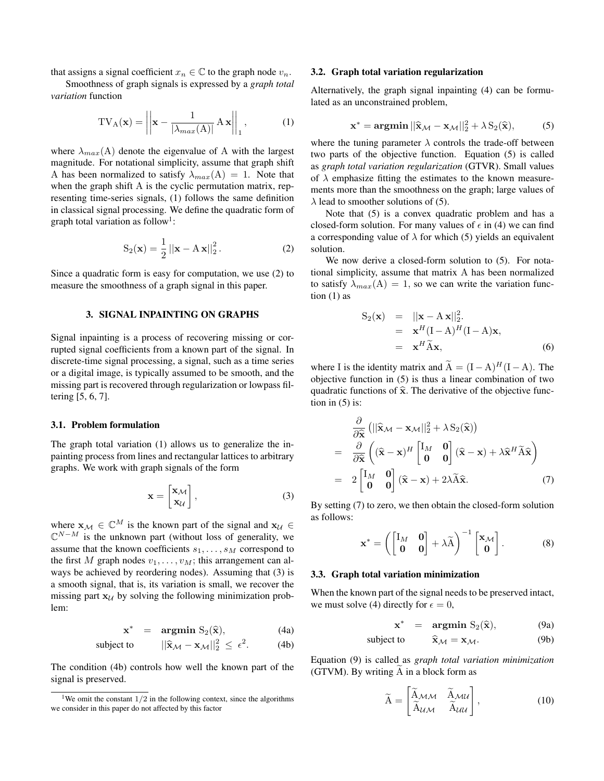that assigns a signal coefficient  $x_n \in \mathbb{C}$  to the graph node  $v_n$ .

Smoothness of graph signals is expressed by a *graph total variation* function

$$
TV_{A}(\mathbf{x}) = \left\| \mathbf{x} - \frac{1}{|\lambda_{max}(A)|} A \mathbf{x} \right\|_{1},
$$
 (1)

where  $\lambda_{max}(A)$  denote the eigenvalue of A with the largest magnitude. For notational simplicity, assume that graph shift A has been normalized to satisfy  $\lambda_{max}(A) = 1$ . Note that when the graph shift A is the cyclic permutation matrix, representing time-series signals, (1) follows the same definition in classical signal processing. We define the quadratic form of graph total variation as follow<sup>1</sup>:

$$
S_2(\mathbf{x}) = \frac{1}{2} ||\mathbf{x} - A\mathbf{x}||_2^2.
$$
 (2)

Since a quadratic form is easy for computation, we use (2) to measure the smoothness of a graph signal in this paper.

## 3. SIGNAL INPAINTING ON GRAPHS

Signal inpainting is a process of recovering missing or corrupted signal coefficients from a known part of the signal. In discrete-time signal processing, a signal, such as a time series or a digital image, is typically assumed to be smooth, and the missing part is recovered through regularization or lowpass filtering [5, 6, 7].

# 3.1. Problem formulation

The graph total variation (1) allows us to generalize the inpainting process from lines and rectangular lattices to arbitrary graphs. We work with graph signals of the form

$$
\mathbf{x} = \begin{bmatrix} \mathbf{x}_{\mathcal{M}} \\ \mathbf{x}_{\mathcal{U}} \end{bmatrix},\tag{3}
$$

where  $\mathbf{x}_{\mathcal{M}} \in \mathbb{C}^{M}$  is the known part of the signal and  $\mathbf{x}_{\mathcal{U}} \in$  $\mathbb{C}^{N-M}$  is the unknown part (without loss of generality, we assume that the known coefficients  $s_1, \ldots, s_M$  correspond to the first M graph nodes  $v_1, \ldots, v_M$ ; this arrangement can always be achieved by reordering nodes). Assuming that (3) is a smooth signal, that is, its variation is small, we recover the missing part  $x_U$  by solving the following minimization problem:

$$
\mathbf{x}^* = \underset{\mathbf{u} \in \mathbb{R}}{\operatorname{argmin}} \ \mathrm{S}_2(\widehat{\mathbf{x}}), \tag{4a}
$$

subject to 
$$
||\hat{\mathbf{x}}_{\mathcal{M}} - \mathbf{x}_{\mathcal{M}}||_2^2 \leq \epsilon^2.
$$
 (4b)

The condition (4b) controls how well the known part of the signal is preserved.

#### 3.2. Graph total variation regularization

Alternatively, the graph signal inpainting (4) can be formulated as an unconstrained problem,

$$
\mathbf{x}^* = \mathbf{argmin} \, ||\widehat{\mathbf{x}}_{\mathcal{M}} - \mathbf{x}_{\mathcal{M}}||_2^2 + \lambda \, S_2(\widehat{\mathbf{x}}), \tag{5}
$$

where the tuning parameter  $\lambda$  controls the trade-off between two parts of the objective function. Equation (5) is called as *graph total variation regularization* (GTVR). Small values of  $\lambda$  emphasize fitting the estimates to the known measurements more than the smoothness on the graph; large values of  $\lambda$  lead to smoother solutions of (5).

Note that (5) is a convex quadratic problem and has a closed-form solution. For many values of  $\epsilon$  in (4) we can find a corresponding value of  $\lambda$  for which (5) yields an equivalent solution.

We now derive a closed-form solution to  $(5)$ . For notational simplicity, assume that matrix A has been normalized to satisfy  $\lambda_{max}(A) = 1$ , so we can write the variation function  $(1)$  as

$$
S_2(\mathbf{x}) = ||\mathbf{x} - A \mathbf{x}||_2^2.
$$
  
=  $\mathbf{x}^H (\mathbf{I} - A)^H (\mathbf{I} - A) \mathbf{x},$   
=  $\mathbf{x}^H \tilde{A} \mathbf{x},$  (6)

where I is the identity matrix and  $\widetilde{A} = (I - A)^{H}(I - A)$ . The objective function in (5) is thus a linear combination of two quadratic functions of  $\hat{x}$ . The derivative of the objective function in  $(5)$  is:

$$
\frac{\partial}{\partial \hat{\mathbf{x}}} (||\hat{\mathbf{x}}_{\mathcal{M}} - \mathbf{x}_{\mathcal{M}}||_2^2 + \lambda S_2(\hat{\mathbf{x}}))
$$
\n
$$
= \frac{\partial}{\partial \hat{\mathbf{x}}} ((\hat{\mathbf{x}} - \mathbf{x})^H \begin{bmatrix} I_M & \mathbf{0} \\ \mathbf{0} & \mathbf{0} \end{bmatrix} (\hat{\mathbf{x}} - \mathbf{x}) + \lambda \hat{\mathbf{x}}^H \tilde{\mathbf{A}} \hat{\mathbf{x}})
$$
\n
$$
= 2 \begin{bmatrix} I_M & \mathbf{0} \\ \mathbf{0} & \mathbf{0} \end{bmatrix} (\hat{\mathbf{x}} - \mathbf{x}) + 2\lambda \tilde{\mathbf{A}} \hat{\mathbf{x}}.
$$
\n(7)

By setting (7) to zero, we then obtain the closed-form solution as follows:

$$
\mathbf{x}^* = \left( \begin{bmatrix} I_M & \mathbf{0} \\ \mathbf{0} & \mathbf{0} \end{bmatrix} + \lambda \widetilde{A} \right)^{-1} \begin{bmatrix} \mathbf{x}_M \\ \mathbf{0} \end{bmatrix} . \tag{8}
$$

# 3.3. Graph total variation minimization

When the known part of the signal needs to be preserved intact, we must solve (4) directly for  $\epsilon = 0$ ,

$$
\mathbf{x}^* = \underset{\mathbf{a}}{\mathbf{argmin}} \ \mathbf{S}_2(\widehat{\mathbf{x}}), \tag{9a}
$$

subject to 
$$
\hat{\mathbf{x}}_{\mathcal{M}} = \mathbf{x}_{\mathcal{M}}.
$$
 (9b)

Equation (9) is called as *graph total variation minimization*  $(GTVM)$ . By writing  $A$  in a block form as

$$
\widetilde{\mathbf{A}} = \begin{bmatrix} \widetilde{\mathbf{A}}_{\mathcal{M}\mathcal{M}} & \widetilde{\mathbf{A}}_{\mathcal{M}\mathcal{U}} \\ \widetilde{\mathbf{A}}_{\mathcal{U}\mathcal{M}} & \widetilde{\mathbf{A}}_{\mathcal{U}\mathcal{U}} \end{bmatrix},
$$
\n(10)

<sup>&</sup>lt;sup>1</sup>We omit the constant  $1/2$  in the following context, since the algorithms we consider in this paper do not affected by this factor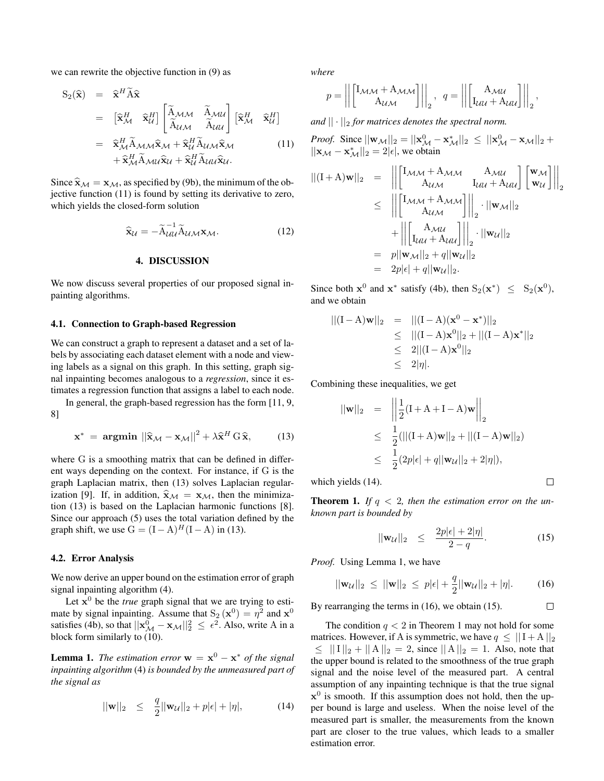we can rewrite the objective function in (9) as

$$
S_{2}(\hat{\mathbf{x}}) = \hat{\mathbf{x}}^{H} \tilde{\mathbf{A}} \hat{\mathbf{x}} \n= [\hat{\mathbf{x}}_{\mathcal{M}}^{H} \hat{\mathbf{x}}_{\mathcal{U}}^{H}] \begin{bmatrix} \tilde{\mathbf{A}}_{\mathcal{M}\mathcal{M}} & \tilde{\mathbf{A}}_{\mathcal{M}\mathcal{U}} \\ \tilde{\mathbf{A}}_{\mathcal{U}\mathcal{M}} & \tilde{\mathbf{A}}_{\mathcal{U}\mathcal{U}} \end{bmatrix} [\hat{\mathbf{x}}_{\mathcal{M}}^{H} \hat{\mathbf{x}}_{\mathcal{U}}^{H}] \n= \hat{\mathbf{x}}_{\mathcal{M}}^{H} \tilde{\mathbf{A}}_{\mathcal{M}\mathcal{M}} \hat{\mathbf{x}}_{\mathcal{M}} + \hat{\mathbf{x}}_{\mathcal{U}}^{H} \tilde{\mathbf{A}}_{\mathcal{U}\mathcal{M}} \hat{\mathbf{x}}_{\mathcal{M}} \qquad (11) \n+ \hat{\mathbf{x}}_{\mathcal{M}}^{H} \tilde{\mathbf{A}}_{\mathcal{M}\mathcal{U}} \hat{\mathbf{x}}_{\mathcal{U}} + \hat{\mathbf{x}}_{\mathcal{U}}^{H} \tilde{\mathbf{A}}_{\mathcal{U}\mathcal{U}} \hat{\mathbf{x}}_{\mathcal{U}}.
$$

Since  $\hat{\mathbf{x}}_{\mathcal{M}} = \mathbf{x}_{\mathcal{M}}$ , as specified by (9b), the minimum of the objective function (11) is found by setting its derivative to zero, which yields the closed-form solution

$$
\widehat{\mathbf{x}}_{\mathcal{U}} = -\widetilde{\mathbf{A}}_{\mathcal{U}\mathcal{U}}^{-1} \widetilde{\mathbf{A}}_{\mathcal{U}\mathcal{M}} \mathbf{x}_{\mathcal{M}}.
$$
 (12)

### 4. DISCUSSION

We now discuss several properties of our proposed signal inpainting algorithms.

### 4.1. Connection to Graph-based Regression

We can construct a graph to represent a dataset and a set of labels by associating each dataset element with a node and viewing labels as a signal on this graph. In this setting, graph signal inpainting becomes analogous to a *regression*, since it estimates a regression function that assigns a label to each node.

In general, the graph-based regression has the form [11, 9, 8]

$$
\mathbf{x}^* = \mathbf{argmin} \, ||\hat{\mathbf{x}}_{\mathcal{M}} - \mathbf{x}_{\mathcal{M}}||^2 + \lambda \hat{\mathbf{x}}^H \, \mathbf{G} \, \hat{\mathbf{x}}, \qquad (13)
$$

where G is a smoothing matrix that can be defined in different ways depending on the context. For instance, if G is the graph Laplacian matrix, then (13) solves Laplacian regularization [9]. If, in addition,  $\hat{\mathbf{x}}_{\mathcal{M}} = \mathbf{x}_{\mathcal{M}}$ , then the minimization (13) is based on the Laplacian harmonic functions [8]. Since our approach (5) uses the total variation defined by the graph shift, we use  $G = (I - A)^{H}(I - A)$  in (13).

# 4.2. Error Analysis

We now derive an upper bound on the estimation error of graph signal inpainting algorithm (4).

Let  $x^0$  be the *true* graph signal that we are trying to estimate by signal inpainting. Assume that  $S_2(\mathbf{x}^0) = \eta^2$  and  $\mathbf{x}^0$ satisfies (4b), so that  $||\mathbf{x}_{\mathcal{M}}^0 - \mathbf{x}_{\mathcal{M}}||_2^2 \leq \epsilon^2$ . Also, write A in a block form similarly to (10).

**Lemma 1.** *The estimation error*  $w = x^0 - x^*$  *of the signal inpainting algorithm* (4) *is bounded by the unmeasured part of the signal as*

$$
||\mathbf{w}||_2 \le \frac{q}{2}||\mathbf{w}_U||_2 + p|\epsilon| + |\eta|,\tag{14}
$$

*where*

$$
p = \left\| \begin{bmatrix} I_{\mathcal{M}\mathcal{M}} + A_{\mathcal{M}\mathcal{M}} \\ A_{\mathcal{U}\mathcal{M}} \end{bmatrix} \right\|_2, \quad q = \left\| \begin{bmatrix} A_{\mathcal{M}\mathcal{U}} \\ I_{\mathcal{U}\mathcal{U}} + A_{\mathcal{U}\mathcal{U}} \end{bmatrix} \right\|_2,
$$

*and*  $|| \cdot ||_2$  *for matrices denotes the spectral norm.* 

*Proof.* Since  $||\mathbf{w}_{\mathcal{M}}||_2 = ||\mathbf{x}_{\mathcal{M}}^0 - \mathbf{x}_{\mathcal{M}}^*||_2 \le ||\mathbf{x}_{\mathcal{M}}^0 - \mathbf{x}_{\mathcal{M}}||_2 +$  $||\mathbf{x}_{\mathcal{M}} - \mathbf{x}_{\mathcal{M}}^*||_2 = 2|\epsilon|$ , we obtain

$$
\begin{aligned} ||(\mathbf{I} + \mathbf{A})\mathbf{w}||_2 &= \left\| \begin{bmatrix} \mathbf{I}_{\mathcal{M}\mathcal{M}} + \mathbf{A}_{\mathcal{M}\mathcal{M}} & \mathbf{A}_{\mathcal{M}\mathcal{U}} \\ \mathbf{A}_{\mathcal{U}\mathcal{M}} & \mathbf{I}_{\mathcal{U}\mathcal{U}} + \mathbf{A}_{\mathcal{U}\mathcal{U}} \end{bmatrix} \begin{bmatrix} \mathbf{w}_{\mathcal{M}} \\ \mathbf{w}_{\mathcal{U}} \end{bmatrix} \right\|_2 \\ &\leq \left\| \begin{bmatrix} \mathbf{I}_{\mathcal{M}\mathcal{M}} + \mathbf{A}_{\mathcal{M}\mathcal{M}} \\ \mathbf{A}_{\mathcal{U}\mathcal{M}} \end{bmatrix} \right\|_2 \cdot ||\mathbf{w}_{\mathcal{M}}||_2 \\ &+ \left\| \begin{bmatrix} \mathbf{A}_{\mathcal{M}\mathcal{U}} \\ \mathbf{I}_{\mathcal{U}\mathcal{U}} + \mathbf{A}_{\mathcal{U}\mathcal{U}} \end{bmatrix} \right\|_2 \cdot ||\mathbf{w}_{\mathcal{U}}||_2 \\ &= p||\mathbf{w}_{\mathcal{M}}||_2 + q||\mathbf{w}_{\mathcal{U}}||_2 \\ &= 2p|\epsilon| + q||\mathbf{w}_{\mathcal{U}}||_2. \end{aligned}
$$

Since both  $\mathbf{x}^0$  and  $\mathbf{x}^*$  satisfy (4b), then  $S_2(\mathbf{x}^*) \leq S_2(\mathbf{x}^0)$ , and we obtain

$$
||(I-A)\mathbf{w}||_2 = ||(I-A)(\mathbf{x}^0 - \mathbf{x}^*)||_2
$$
  
\n
$$
\leq ||(I-A)\mathbf{x}^0||_2 + ||(I-A)\mathbf{x}^*||_2
$$
  
\n
$$
\leq 2||(I-A)\mathbf{x}^0||_2
$$
  
\n
$$
\leq 2|\eta|.
$$

Combining these inequalities, we get

$$
||\mathbf{w}||_2 = \left\| \frac{1}{2} (\mathbf{I} + \mathbf{A} + \mathbf{I} - \mathbf{A}) \mathbf{w} \right\|_2
$$
  
\n
$$
\leq \frac{1}{2} (||(\mathbf{I} + \mathbf{A}) \mathbf{w}||_2 + ||(\mathbf{I} - \mathbf{A}) \mathbf{w}||_2)
$$
  
\n
$$
\leq \frac{1}{2} (2p|\epsilon| + q ||\mathbf{w}_u||_2 + 2|\eta|),
$$
  
\n
$$
\text{vields (14).} \qquad \Box
$$

which yields (14).

**Theorem 1.** If  $q < 2$ , then the estimation error on the un*known part is bounded by*

$$
||\mathbf{w}_{\mathcal{U}}||_2 \leq \frac{2p|\epsilon| + 2|\eta|}{2 - q}.
$$
 (15)

*Proof.* Using Lemma 1, we have

$$
||\mathbf{w}_{\mathcal{U}}||_2 \leq ||\mathbf{w}||_2 \leq p|\epsilon| + \frac{q}{2}||\mathbf{w}_{\mathcal{U}}||_2 + |\eta|. \tag{16}
$$

By rearranging the terms in (16), we obtain (15).  $\Box$ 

The condition  $q < 2$  in Theorem 1 may not hold for some matrices. However, if A is symmetric, we have  $q \leq ||I + A||_2$  $\leq ||I||_2 + ||A||_2 = 2$ , since  $||A||_2 = 1$ . Also, note that the upper bound is related to the smoothness of the true graph signal and the noise level of the measured part. A central assumption of any inpainting technique is that the true signal  $x^0$  is smooth. If this assumption does not hold, then the upper bound is large and useless. When the noise level of the measured part is smaller, the measurements from the known part are closer to the true values, which leads to a smaller estimation error.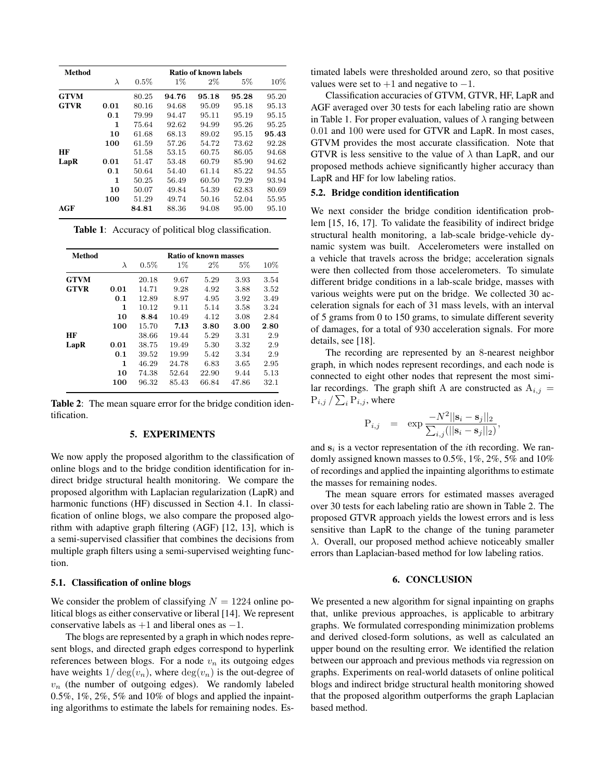| <b>Method</b> | <b>Ratio of known labels</b> |         |       |       |       |       |  |  |  |
|---------------|------------------------------|---------|-------|-------|-------|-------|--|--|--|
|               | $\lambda$                    | $0.5\%$ | $1\%$ | $2\%$ | $5\%$ | 10%   |  |  |  |
| <b>GTVM</b>   |                              | 80.25   | 94.76 | 95.18 | 95.28 | 95.20 |  |  |  |
| <b>GTVR</b>   | 0.01                         | 80.16   | 94.68 | 95.09 | 95.18 | 95.13 |  |  |  |
|               | 0.1                          | 79.99   | 94.47 | 95.11 | 95.19 | 95.15 |  |  |  |
|               | 1                            | 75.64   | 92.62 | 94.99 | 95.26 | 95.25 |  |  |  |
|               | 10                           | 61.68   | 68.13 | 89.02 | 95.15 | 95.43 |  |  |  |
|               | 100                          | 61.59   | 57.26 | 54.72 | 73.62 | 92.28 |  |  |  |
| HF            |                              | 51.58   | 53.15 | 60.75 | 86.05 | 94.68 |  |  |  |
| LapR          | 0.01                         | 51.47   | 53.48 | 60.79 | 85.90 | 94.62 |  |  |  |
|               | 0.1                          | 50.64   | 54.40 | 61.14 | 85.22 | 94.55 |  |  |  |
|               | 1                            | 50.25   | 56.49 | 60.50 | 79.29 | 93.94 |  |  |  |
|               | 10                           | 50.07   | 49.84 | 54.39 | 62.83 | 80.69 |  |  |  |
|               | 100                          | 51.29   | 49.74 | 50.16 | 52.04 | 55.95 |  |  |  |
| AGF           |                              | 84.81   | 88.36 | 94.08 | 95.00 | 95.10 |  |  |  |

Table 1: Accuracy of political blog classification.

| <b>Method</b> | <b>Ratio of known masses</b> |         |       |       |       |      |  |  |  |
|---------------|------------------------------|---------|-------|-------|-------|------|--|--|--|
|               | λ                            | $0.5\%$ | $1\%$ | $2\%$ | $5\%$ | 10%  |  |  |  |
| <b>GTVM</b>   |                              | 20.18   | 9.67  | 5.29  | 3.93  | 3.54 |  |  |  |
| <b>GTVR</b>   | 0.01                         | 14.71   | 9.28  | 4.92  | 3.88  | 3.52 |  |  |  |
|               | 0.1                          | 12.89   | 8.97  | 4.95  | 3.92  | 3.49 |  |  |  |
|               | 1                            | 10.12   | 9.11  | 5.14  | 3.58  | 3.24 |  |  |  |
|               | 10                           | 8.84    | 10.49 | 4.12  | 3.08  | 2.84 |  |  |  |
|               | 100                          | 15.70   | 7.13  | 3.80  | 3.00  | 2.80 |  |  |  |
| HF            |                              | 38.66   | 19.44 | 5.29  | 3.31  | 2.9  |  |  |  |
| LapR          | 0.01                         | 38.75   | 19.49 | 5.30  | 3.32  | 2.9  |  |  |  |
|               | 0.1                          | 39.52   | 19.99 | 5.42  | 3.34  | 2.9  |  |  |  |
|               | 1                            | 46.29   | 24.78 | 6.83  | 3.65  | 2.95 |  |  |  |
|               | 10                           | 74.38   | 52.64 | 22.90 | 9.44  | 5.13 |  |  |  |
|               | 100                          | 96.32   | 85.43 | 66.84 | 47.86 | 32.1 |  |  |  |

Table 2: The mean square error for the bridge condition identification.

# 5. EXPERIMENTS

We now apply the proposed algorithm to the classification of online blogs and to the bridge condition identification for indirect bridge structural health monitoring. We compare the proposed algorithm with Laplacian regularization (LapR) and harmonic functions (HF) discussed in Section 4.1. In classification of online blogs, we also compare the proposed algorithm with adaptive graph filtering (AGF) [12, 13], which is a semi-supervised classifier that combines the decisions from multiple graph filters using a semi-supervised weighting function.

#### 5.1. Classification of online blogs

We consider the problem of classifying  $N = 1224$  online political blogs as either conservative or liberal [14]. We represent conservative labels as  $+1$  and liberal ones as  $-1$ .

The blogs are represented by a graph in which nodes represent blogs, and directed graph edges correspond to hyperlink references between blogs. For a node  $v_n$  its outgoing edges have weights  $1/\deg(v_n)$ , where  $\deg(v_n)$  is the out-degree of  $v_n$  (the number of outgoing edges). We randomly labeled 0.5%, 1%, 2%, 5% and 10% of blogs and applied the inpainting algorithms to estimate the labels for remaining nodes. Estimated labels were thresholded around zero, so that positive values were set to  $+1$  and negative to  $-1$ .

Classification accuracies of GTVM, GTVR, HF, LapR and AGF averaged over 30 tests for each labeling ratio are shown in Table 1. For proper evaluation, values of  $\lambda$  ranging between 0.01 and 100 were used for GTVR and LapR. In most cases, GTVM provides the most accurate classification. Note that GTVR is less sensitive to the value of  $\lambda$  than LapR, and our proposed methods achieve significantly higher accuracy than LapR and HF for low labeling ratios.

## 5.2. Bridge condition identification

We next consider the bridge condition identification problem [15, 16, 17]. To validate the feasibility of indirect bridge structural health monitoring, a lab-scale bridge-vehicle dynamic system was built. Accelerometers were installed on a vehicle that travels across the bridge; acceleration signals were then collected from those accelerometers. To simulate different bridge conditions in a lab-scale bridge, masses with various weights were put on the bridge. We collected 30 acceleration signals for each of 31 mass levels, with an interval of 5 grams from 0 to 150 grams, to simulate different severity of damages, for a total of 930 acceleration signals. For more details, see [18].

The recording are represented by an 8-nearest neighbor graph, in which nodes represent recordings, and each node is connected to eight other nodes that represent the most similar recordings. The graph shift A are constructed as  $A_{i,j} =$  $\mathrm{P}_{i,j}\,/\sum_{i}\mathrm{P}_{i,j},$  where

$$
\mathbf{P}_{i,j} = \exp \frac{-N^2 ||\mathbf{s}_i - \mathbf{s}_j||_2}{\sum_{i,j} (||\mathbf{s}_i - \mathbf{s}_j||_2)},
$$

and  $s_i$  is a vector representation of the *i*th recording. We randomly assigned known masses to 0.5%, 1%, 2%, 5% and 10% of recordings and applied the inpainting algorithms to estimate the masses for remaining nodes.

The mean square errors for estimated masses averaged over 30 tests for each labeling ratio are shown in Table 2. The proposed GTVR approach yields the lowest errors and is less sensitive than LapR to the change of the tuning parameter λ. Overall, our proposed method achieve noticeably smaller errors than Laplacian-based method for low labeling ratios.

### 6. CONCLUSION

We presented a new algorithm for signal inpainting on graphs that, unlike previous approaches, is applicable to arbitrary graphs. We formulated corresponding minimization problems and derived closed-form solutions, as well as calculated an upper bound on the resulting error. We identified the relation between our approach and previous methods via regression on graphs. Experiments on real-world datasets of online political blogs and indirect bridge structural health monitoring showed that the proposed algorithm outperforms the graph Laplacian based method.